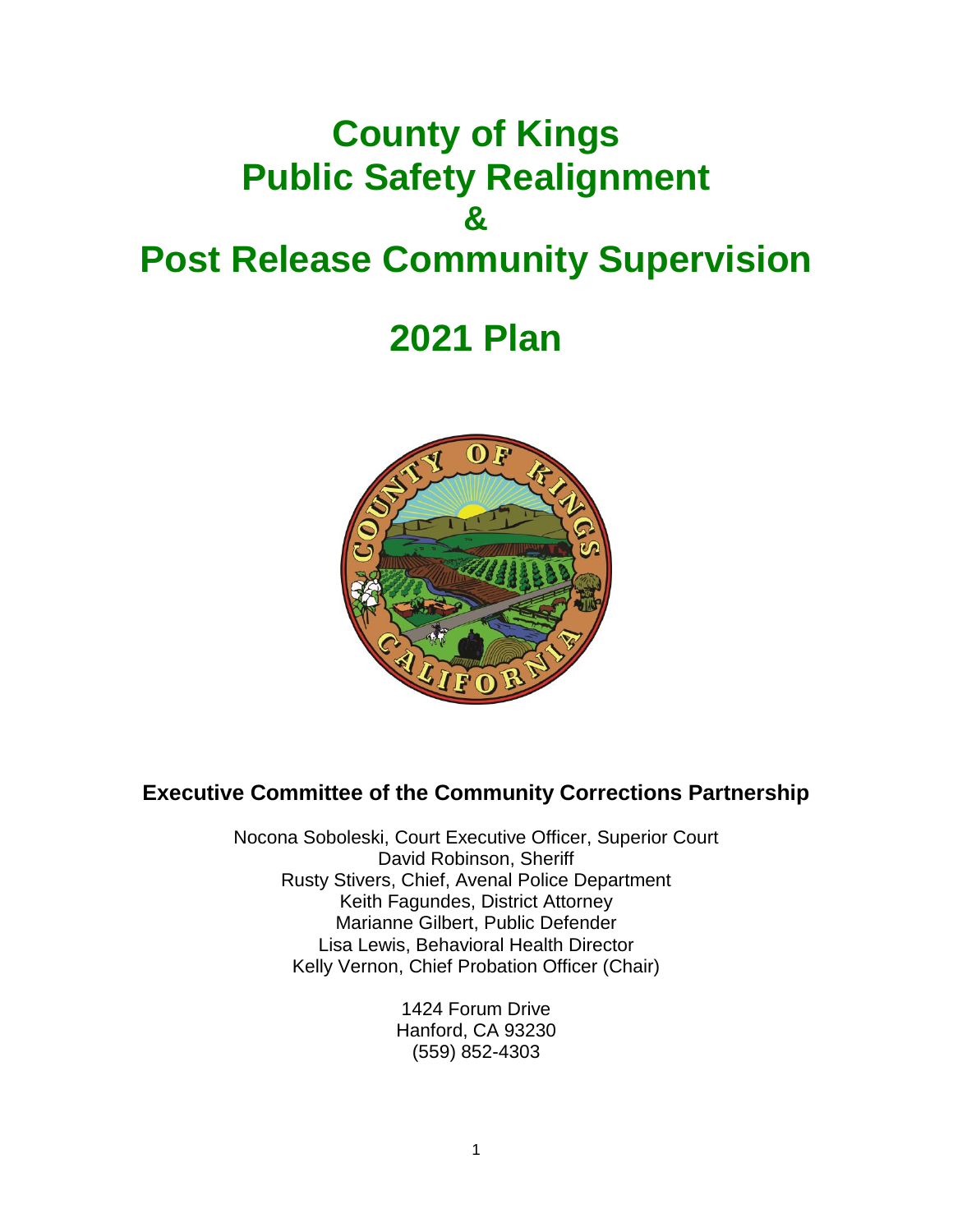# **County of Kings Public Safety Realignment & Post Release Community Supervision**

# **2021 Plan**



# **Executive Committee of the Community Corrections Partnership**

Nocona Soboleski, Court Executive Officer, Superior Court David Robinson, Sheriff Rusty Stivers, Chief, Avenal Police Department Keith Fagundes, District Attorney Marianne Gilbert, Public Defender Lisa Lewis, Behavioral Health Director Kelly Vernon, Chief Probation Officer (Chair)

> 1424 Forum Drive Hanford, CA 93230 (559) 852-4303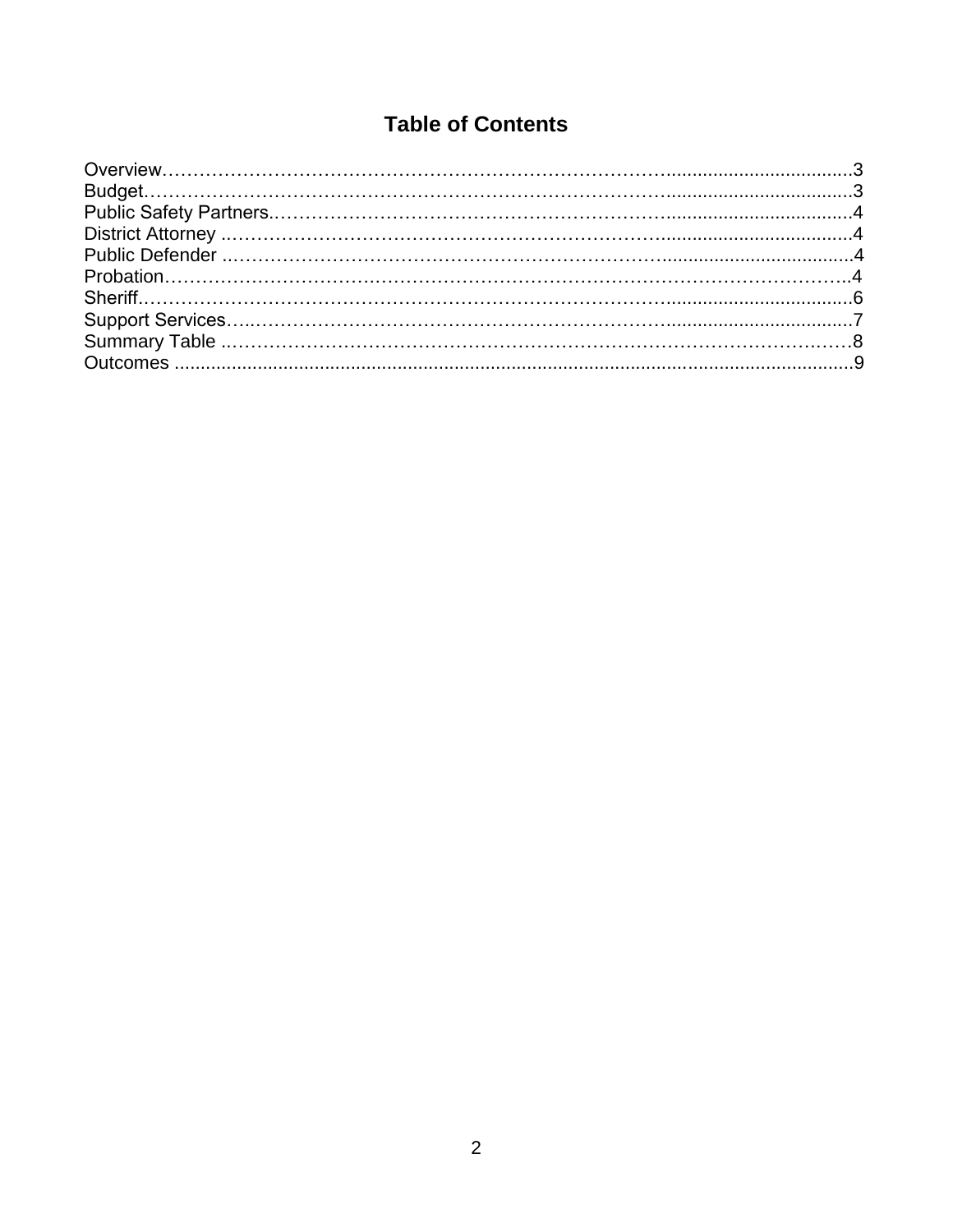# **Table of Contents**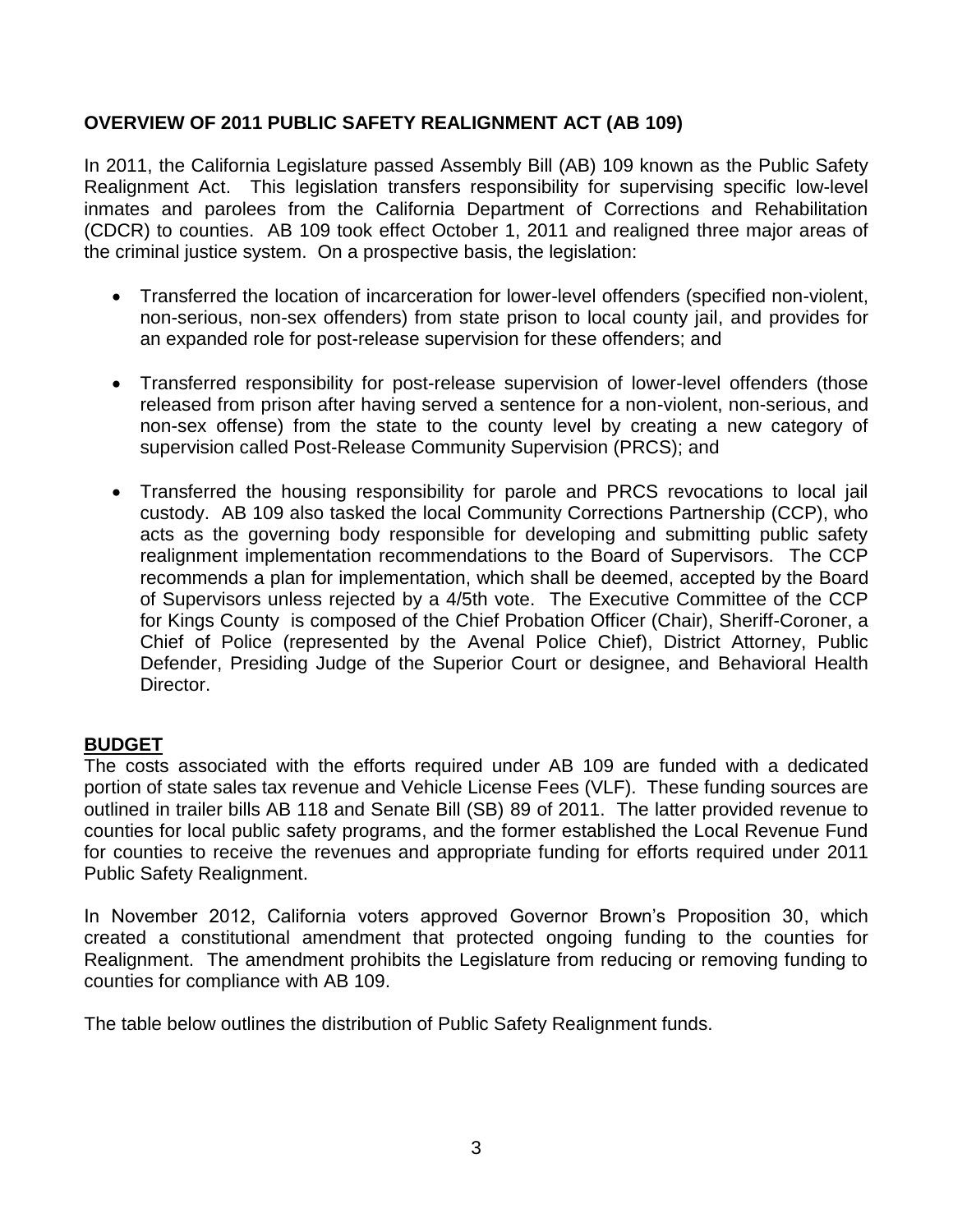# **OVERVIEW OF 2011 PUBLIC SAFETY REALIGNMENT ACT (AB 109)**

In 2011, the California Legislature passed Assembly Bill (AB) 109 known as the Public Safety Realignment Act. This legislation transfers responsibility for supervising specific low-level inmates and parolees from the California Department of Corrections and Rehabilitation (CDCR) to counties. AB 109 took effect October 1, 2011 and realigned three major areas of the criminal justice system. On a prospective basis, the legislation:

- Transferred the location of incarceration for lower-level offenders (specified non-violent, non-serious, non-sex offenders) from state prison to local county jail, and provides for an expanded role for post-release supervision for these offenders; and
- Transferred responsibility for post-release supervision of lower-level offenders (those released from prison after having served a sentence for a non-violent, non-serious, and non-sex offense) from the state to the county level by creating a new category of supervision called Post-Release Community Supervision (PRCS); and
- Transferred the housing responsibility for parole and PRCS revocations to local jail custody. AB 109 also tasked the local Community Corrections Partnership (CCP), who acts as the governing body responsible for developing and submitting public safety realignment implementation recommendations to the Board of Supervisors. The CCP recommends a plan for implementation, which shall be deemed, accepted by the Board of Supervisors unless rejected by a 4/5th vote. The Executive Committee of the CCP for Kings County is composed of the Chief Probation Officer (Chair), Sheriff-Coroner, a Chief of Police (represented by the Avenal Police Chief), District Attorney, Public Defender, Presiding Judge of the Superior Court or designee, and Behavioral Health Director.

# **BUDGET**

The costs associated with the efforts required under AB 109 are funded with a dedicated portion of state sales tax revenue and Vehicle License Fees (VLF). These funding sources are outlined in trailer bills AB 118 and Senate Bill (SB) 89 of 2011. The latter provided revenue to counties for local public safety programs, and the former established the Local Revenue Fund for counties to receive the revenues and appropriate funding for efforts required under 2011 Public Safety Realignment.

In November 2012, California voters approved Governor Brown's Proposition 30, which created a constitutional amendment that protected ongoing funding to the counties for Realignment. The amendment prohibits the Legislature from reducing or removing funding to counties for compliance with AB 109.

The table below outlines the distribution of Public Safety Realignment funds.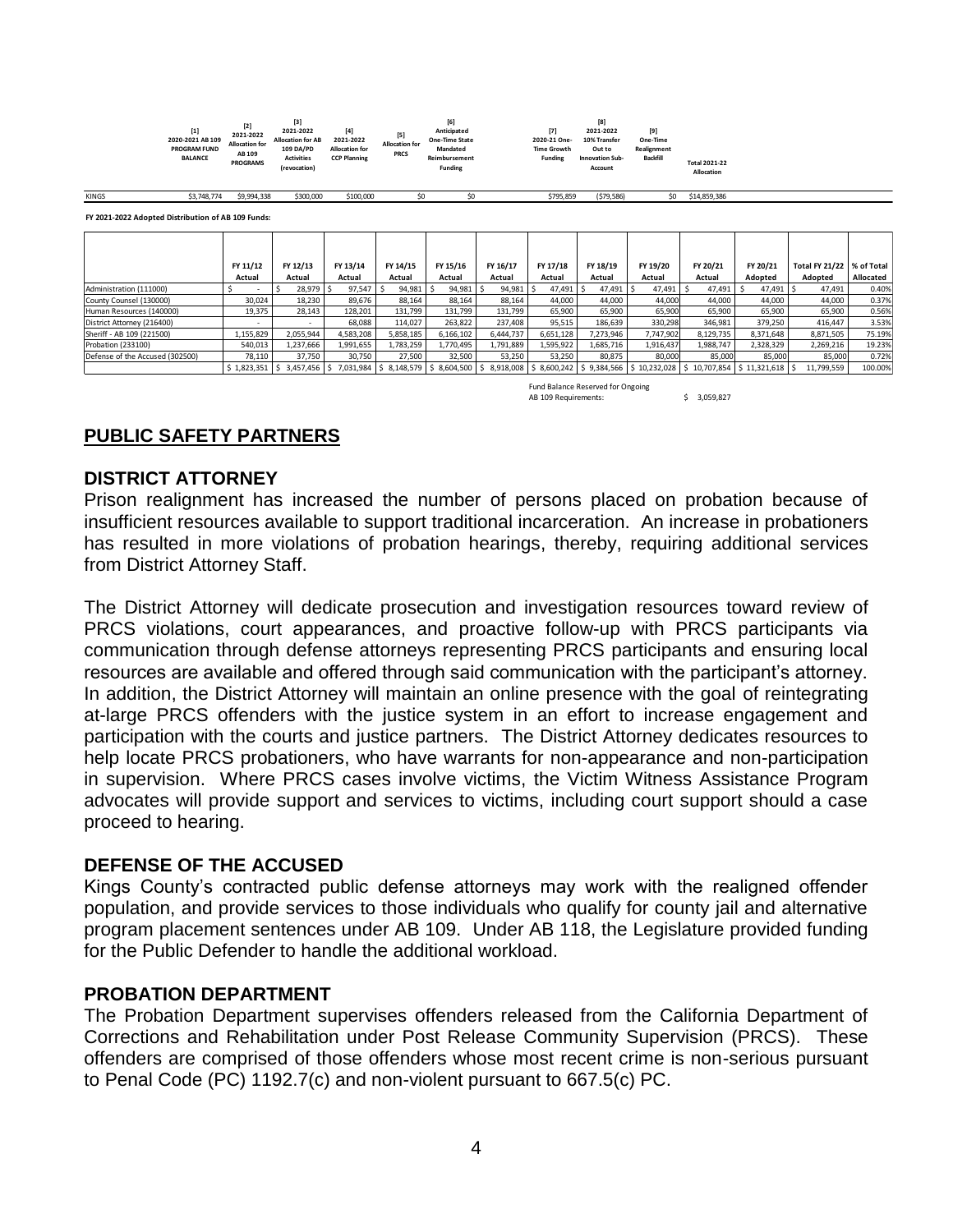| $[1]$<br>2020-2021 AB 109<br><b>PROGRAM FUND</b><br><b>BALANCE</b> | $[2]$<br>2021-2022<br><b>Allocation for</b><br>AB 109<br><b>PROGRAMS</b> | $[3]$<br>2021-2022<br><b>Allocation for AB</b><br>109 DA/PD<br><b>Activities</b><br>(revocation) | $[4]$<br>2021-2022<br><b>Allocation for</b><br><b>CCP Planning</b> | $[5]$<br><b>Allocation for</b><br><b>PRCS</b> | ĮЫ<br>Anticipated<br><b>One-Time State</b><br>Mandated<br>Reimbursement<br><b>Funding</b> |  | $[7]$<br>2020-21 One-<br><b>Time Growth</b><br><b>Funding</b> | [8]<br>2021-2022<br>10% Transfer<br>Out to<br><b>Innovation Sub-</b><br>Account | $[9]$<br>One-Time<br>Realignment<br><b>Backfill</b> | <b>Total 2021-22</b><br>Allocation |  |  |
|--------------------------------------------------------------------|--------------------------------------------------------------------------|--------------------------------------------------------------------------------------------------|--------------------------------------------------------------------|-----------------------------------------------|-------------------------------------------------------------------------------------------|--|---------------------------------------------------------------|---------------------------------------------------------------------------------|-----------------------------------------------------|------------------------------------|--|--|
|--------------------------------------------------------------------|--------------------------------------------------------------------------|--------------------------------------------------------------------------------------------------|--------------------------------------------------------------------|-----------------------------------------------|-------------------------------------------------------------------------------------------|--|---------------------------------------------------------------|---------------------------------------------------------------------------------|-----------------------------------------------------|------------------------------------|--|--|

KINGS \$3,748,774 \$9,994,338 \$300,000 \$100,000 \$0 \$0 \$795,859 (\$79,586) \$0 \$14,859,386

**FY 2021-2022 Adopted Distribution of AB 109 Funds:**

|                                 | FY 11/12    | FY 12/13  | FY 13/14    | FY 14/15                                          | FY 15/16  | FY 16/17  | FY 17/18  | FY 18/19  | FY 19/20  | FY 20/21                                                                                | FY 20/21  | <b>Total FY 21/22</b> | S of Total |
|---------------------------------|-------------|-----------|-------------|---------------------------------------------------|-----------|-----------|-----------|-----------|-----------|-----------------------------------------------------------------------------------------|-----------|-----------------------|------------|
|                                 | Actual      | Actual    | Actual      | Actual                                            | Actual    | Actual    | Actual    | Actual    | Actual    | Actual                                                                                  | Adopted   | Adopted               | Allocated  |
| Administration (111000)         | . .         | 28,979    | 97,547      | 94,981                                            | 94,981    | 94,981    | 47,491    | 47,491    | 47,491    | 47,491                                                                                  | 47,491    | 47,491                | 0.40%      |
| County Counsel (130000)         | 30.024      | 18,230    | 89.676      | 88.164                                            | 88,164    | 88.164    | 44.000    | 44.000    | 44.000    | 44.000                                                                                  | 44.000    | 44.000                | 0.37%      |
| Human Resources (140000)        | 19,375      | 28,143    | 128,201     | 131,799                                           | 131,799   | 131,799   | 65,900    | 65,900    | 65,900    | 65,900                                                                                  | 65,900    | 65,900                | 0.56%      |
| District Attorney (216400)      | . .         |           | 68.088      | 114.027                                           | 263,822   | 237,408   | 95,515    | 186,639   | 330,298   | 346,981                                                                                 | 379,250   | 416.447               | 3.53%      |
| Sheriff - AB 109 (221500)       | 1,155,829   | 2,055,944 | 4,583,208   | 5,858,185                                         | 6,166,102 | 6,444,737 | 6,651,128 | 7,273,946 | 7,747,902 | 8,129,735                                                                               | 8,371,648 | 8,871,505             | 75.19%     |
| Probation (233100)              | 540,013     | 1,237,666 | 1,991,655   | 1,783,259                                         | 1,770,495 | 1,791,889 | 1,595,922 | 1,685,716 | 1,916,437 | 1,988,747                                                                               | 2,328,329 | 2,269,216             | 19.23%     |
| Defense of the Accused (302500) | 78.110      | 37,750    | 30.750      | 27.500                                            | 32.500    | 53.250    | 53.250    | 80.875    | 80,000    | 85,000                                                                                  | 85,000    | 85,000                | 0.72%      |
|                                 | \$1,823,351 | 3,457,456 | 5 7,031,984 | $\vert$ \$ 8,148,579 $\vert$ \$ 8,604,500 $\vert$ |           | -S        |           |           |           | 8,918,008   \$8,600,242   \$9,384,566   \$10,232,028   \$10,707,854   \$11,321,618   \$ |           | 11,799,559            | 100.00%    |
|                                 |             |           |             |                                                   |           |           |           |           |           |                                                                                         |           |                       |            |

Fund Balance Reserved for Ongoing AB 109 Requirements:  $\frac{1}{2}$  \$ 3,059,827

# **PUBLIC SAFETY PARTNERS**

#### **DISTRICT ATTORNEY**

Prison realignment has increased the number of persons placed on probation because of insufficient resources available to support traditional incarceration. An increase in probationers has resulted in more violations of probation hearings, thereby, requiring additional services from District Attorney Staff.

The District Attorney will dedicate prosecution and investigation resources toward review of PRCS violations, court appearances, and proactive follow-up with PRCS participants via communication through defense attorneys representing PRCS participants and ensuring local resources are available and offered through said communication with the participant's attorney. In addition, the District Attorney will maintain an online presence with the goal of reintegrating at-large PRCS offenders with the justice system in an effort to increase engagement and participation with the courts and justice partners. The District Attorney dedicates resources to help locate PRCS probationers, who have warrants for non-appearance and non-participation in supervision. Where PRCS cases involve victims, the Victim Witness Assistance Program advocates will provide support and services to victims, including court support should a case proceed to hearing.

### **DEFENSE OF THE ACCUSED**

Kings County's contracted public defense attorneys may work with the realigned offender population, and provide services to those individuals who qualify for county jail and alternative program placement sentences under AB 109. Under AB 118, the Legislature provided funding for the Public Defender to handle the additional workload.

### **PROBATION DEPARTMENT**

The Probation Department supervises offenders released from the California Department of Corrections and Rehabilitation under Post Release Community Supervision (PRCS). These offenders are comprised of those offenders whose most recent crime is non-serious pursuant to Penal Code (PC) 1192.7(c) and non-violent pursuant to 667.5(c) PC.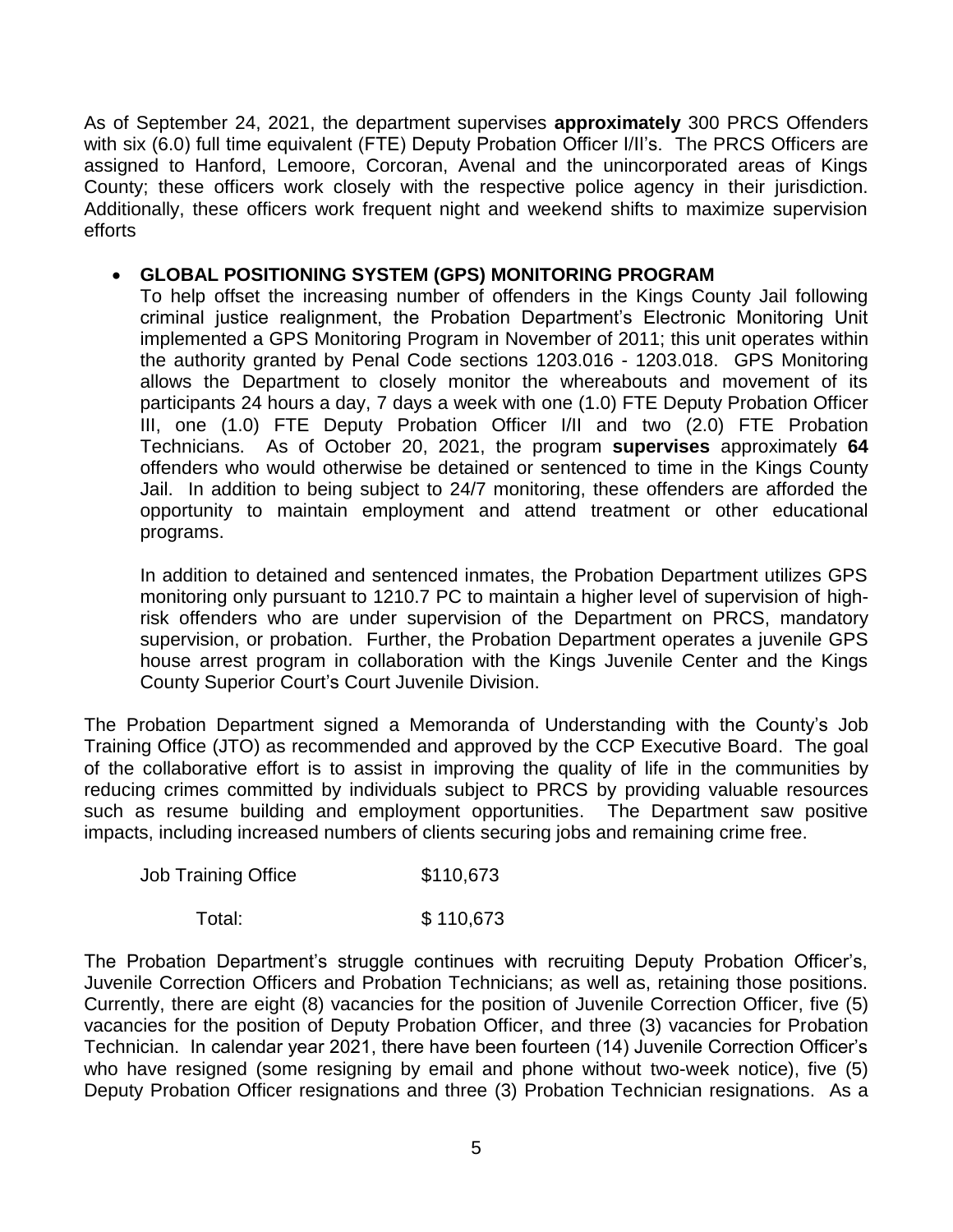As of September 24, 2021, the department supervises **approximately** 300 PRCS Offenders with six (6.0) full time equivalent (FTE) Deputy Probation Officer I/II's. The PRCS Officers are assigned to Hanford, Lemoore, Corcoran, Avenal and the unincorporated areas of Kings County; these officers work closely with the respective police agency in their jurisdiction. Additionally, these officers work frequent night and weekend shifts to maximize supervision efforts

# **GLOBAL POSITIONING SYSTEM (GPS) MONITORING PROGRAM**

To help offset the increasing number of offenders in the Kings County Jail following criminal justice realignment, the Probation Department's Electronic Monitoring Unit implemented a GPS Monitoring Program in November of 2011; this unit operates within the authority granted by Penal Code sections 1203.016 - 1203.018. GPS Monitoring allows the Department to closely monitor the whereabouts and movement of its participants 24 hours a day, 7 days a week with one (1.0) FTE Deputy Probation Officer III, one (1.0) FTE Deputy Probation Officer I/II and two (2.0) FTE Probation Technicians. As of October 20, 2021, the program **supervises** approximately **64**  offenders who would otherwise be detained or sentenced to time in the Kings County Jail. In addition to being subject to 24/7 monitoring, these offenders are afforded the opportunity to maintain employment and attend treatment or other educational programs.

In addition to detained and sentenced inmates, the Probation Department utilizes GPS monitoring only pursuant to 1210.7 PC to maintain a higher level of supervision of highrisk offenders who are under supervision of the Department on PRCS, mandatory supervision, or probation. Further, the Probation Department operates a juvenile GPS house arrest program in collaboration with the Kings Juvenile Center and the Kings County Superior Court's Court Juvenile Division.

The Probation Department signed a Memoranda of Understanding with the County's Job Training Office (JTO) as recommended and approved by the CCP Executive Board. The goal of the collaborative effort is to assist in improving the quality of life in the communities by reducing crimes committed by individuals subject to PRCS by providing valuable resources such as resume building and employment opportunities. The Department saw positive impacts, including increased numbers of clients securing jobs and remaining crime free.

| Job Training Office | \$110,673 |
|---------------------|-----------|
|                     |           |

Total: \$ 110,673

The Probation Department's struggle continues with recruiting Deputy Probation Officer's, Juvenile Correction Officers and Probation Technicians; as well as, retaining those positions. Currently, there are eight (8) vacancies for the position of Juvenile Correction Officer, five (5) vacancies for the position of Deputy Probation Officer, and three (3) vacancies for Probation Technician. In calendar year 2021, there have been fourteen (14) Juvenile Correction Officer's who have resigned (some resigning by email and phone without two-week notice), five (5) Deputy Probation Officer resignations and three (3) Probation Technician resignations. As a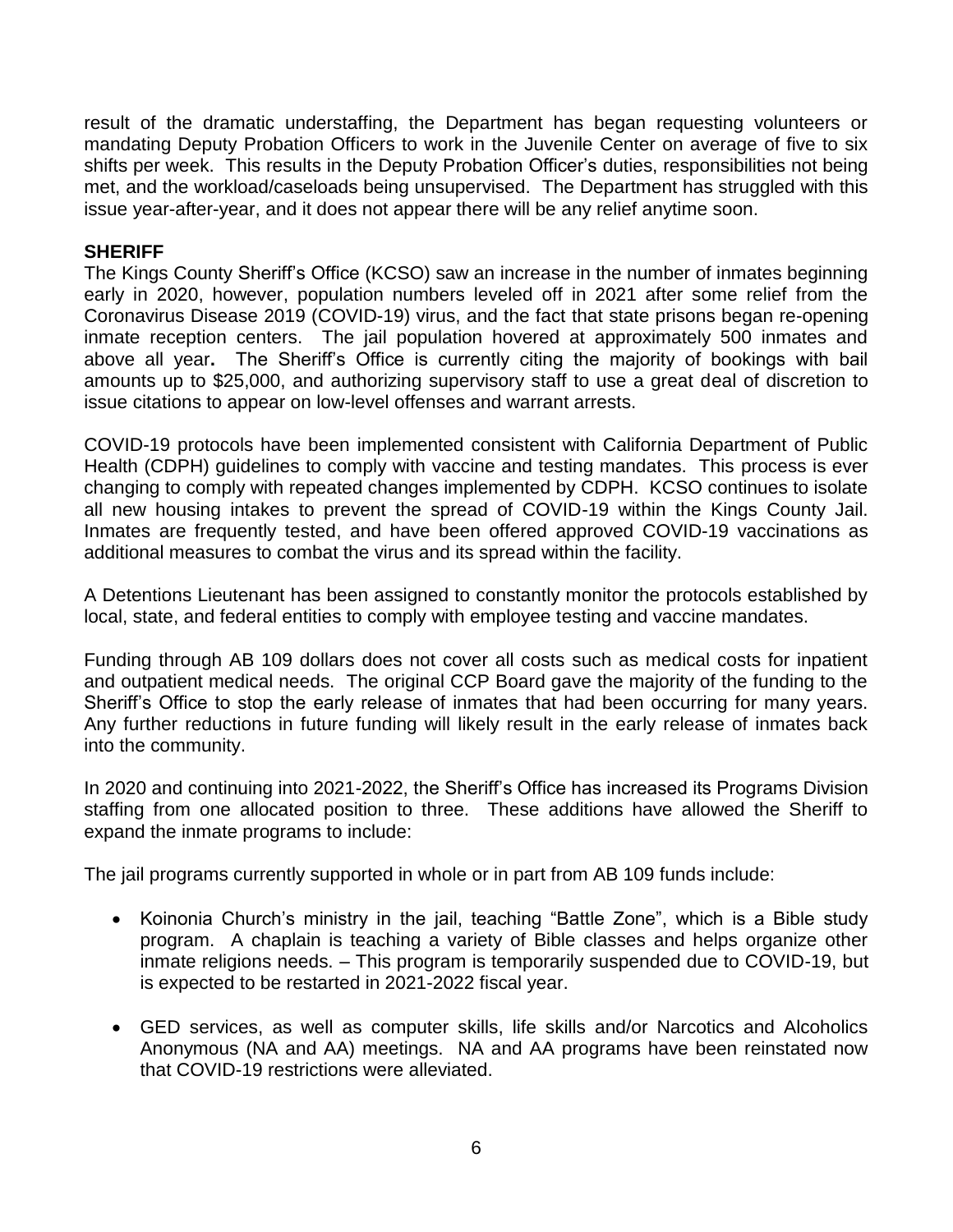result of the dramatic understaffing, the Department has began requesting volunteers or mandating Deputy Probation Officers to work in the Juvenile Center on average of five to six shifts per week. This results in the Deputy Probation Officer's duties, responsibilities not being met, and the workload/caseloads being unsupervised. The Department has struggled with this issue year-after-year, and it does not appear there will be any relief anytime soon.

# **SHERIFF**

The Kings County Sheriff's Office (KCSO) saw an increase in the number of inmates beginning early in 2020, however, population numbers leveled off in 2021 after some relief from the Coronavirus Disease 2019 (COVID-19) virus, and the fact that state prisons began re-opening inmate reception centers. The jail population hovered at approximately 500 inmates and above all year**.** The Sheriff's Office is currently citing the majority of bookings with bail amounts up to \$25,000, and authorizing supervisory staff to use a great deal of discretion to issue citations to appear on low-level offenses and warrant arrests.

COVID-19 protocols have been implemented consistent with California Department of Public Health (CDPH) guidelines to comply with vaccine and testing mandates. This process is ever changing to comply with repeated changes implemented by CDPH. KCSO continues to isolate all new housing intakes to prevent the spread of COVID-19 within the Kings County Jail. Inmates are frequently tested, and have been offered approved COVID-19 vaccinations as additional measures to combat the virus and its spread within the facility.

A Detentions Lieutenant has been assigned to constantly monitor the protocols established by local, state, and federal entities to comply with employee testing and vaccine mandates.

Funding through AB 109 dollars does not cover all costs such as medical costs for inpatient and outpatient medical needs. The original CCP Board gave the majority of the funding to the Sheriff's Office to stop the early release of inmates that had been occurring for many years. Any further reductions in future funding will likely result in the early release of inmates back into the community.

In 2020 and continuing into 2021-2022, the Sheriff's Office has increased its Programs Division staffing from one allocated position to three. These additions have allowed the Sheriff to expand the inmate programs to include:

The jail programs currently supported in whole or in part from AB 109 funds include:

- Koinonia Church's ministry in the jail, teaching "Battle Zone", which is a Bible study program. A chaplain is teaching a variety of Bible classes and helps organize other inmate religions needs. – This program is temporarily suspended due to COVID-19, but is expected to be restarted in 2021-2022 fiscal year.
- GED services, as well as computer skills, life skills and/or Narcotics and Alcoholics Anonymous (NA and AA) meetings. NA and AA programs have been reinstated now that COVID-19 restrictions were alleviated.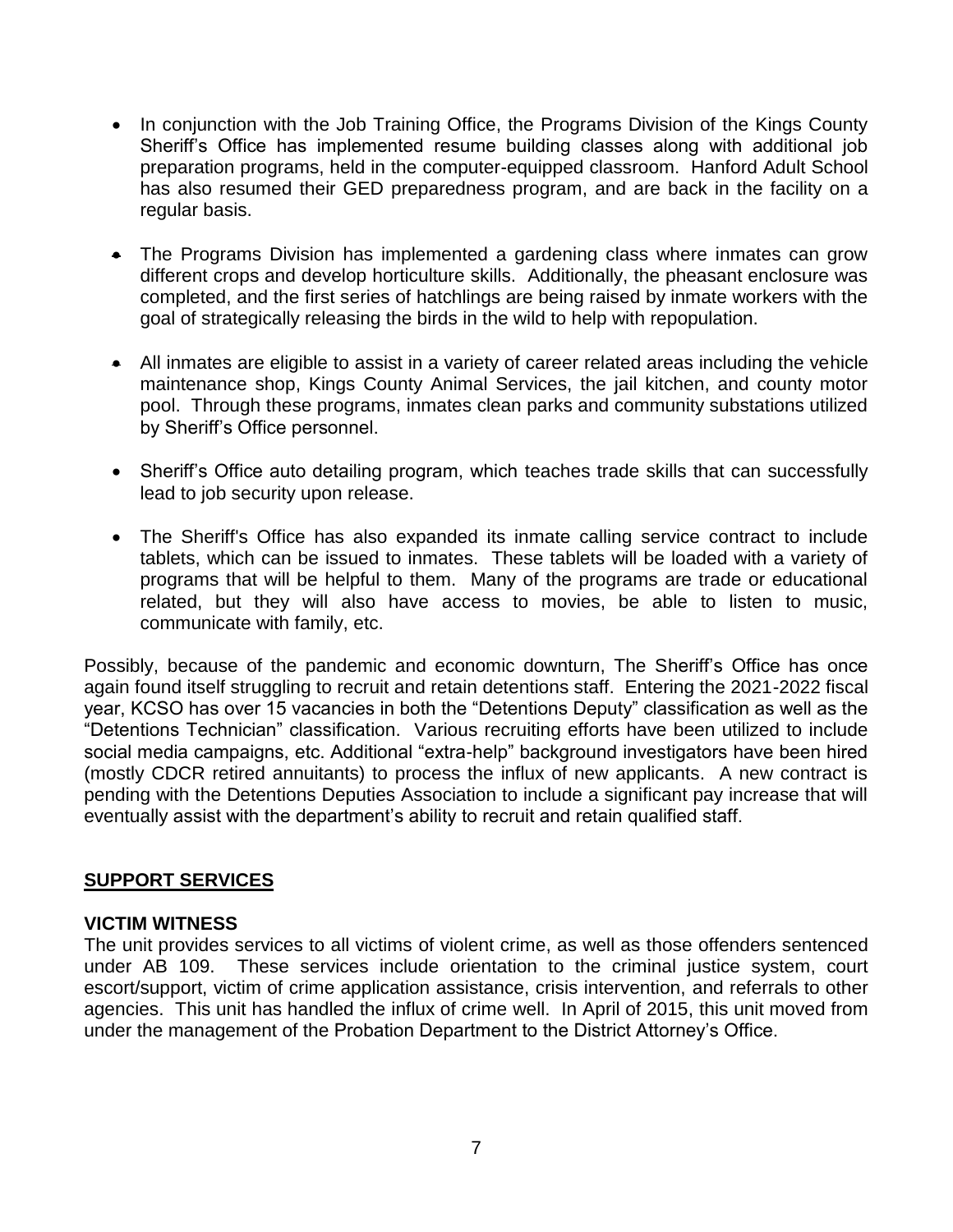- In conjunction with the Job Training Office, the Programs Division of the Kings County Sheriff's Office has implemented resume building classes along with additional job preparation programs, held in the computer-equipped classroom. Hanford Adult School has also resumed their GED preparedness program, and are back in the facility on a regular basis.
- The Programs Division has implemented a gardening class where inmates can grow different crops and develop horticulture skills. Additionally, the pheasant enclosure was completed, and the first series of hatchlings are being raised by inmate workers with the goal of strategically releasing the birds in the wild to help with repopulation.
- All inmates are eligible to assist in a variety of career related areas including the vehicle maintenance shop, Kings County Animal Services, the jail kitchen, and county motor pool. Through these programs, inmates clean parks and community substations utilized by Sheriff's Office personnel.
- Sheriff's Office auto detailing program, which teaches trade skills that can successfully lead to job security upon release.
- The Sheriff's Office has also expanded its inmate calling service contract to include tablets, which can be issued to inmates. These tablets will be loaded with a variety of programs that will be helpful to them. Many of the programs are trade or educational related, but they will also have access to movies, be able to listen to music, communicate with family, etc.

Possibly, because of the pandemic and economic downturn, The Sheriff's Office has once again found itself struggling to recruit and retain detentions staff. Entering the 2021-2022 fiscal year, KCSO has over 15 vacancies in both the "Detentions Deputy" classification as well as the "Detentions Technician" classification. Various recruiting efforts have been utilized to include social media campaigns, etc. Additional "extra-help" background investigators have been hired (mostly CDCR retired annuitants) to process the influx of new applicants. A new contract is pending with the Detentions Deputies Association to include a significant pay increase that will eventually assist with the department's ability to recruit and retain qualified staff.

# **SUPPORT SERVICES**

# **VICTIM WITNESS**

The unit provides services to all victims of violent crime, as well as those offenders sentenced under AB 109. These services include orientation to the criminal justice system, court escort/support, victim of crime application assistance, crisis intervention, and referrals to other agencies. This unit has handled the influx of crime well. In April of 2015, this unit moved from under the management of the Probation Department to the District Attorney's Office.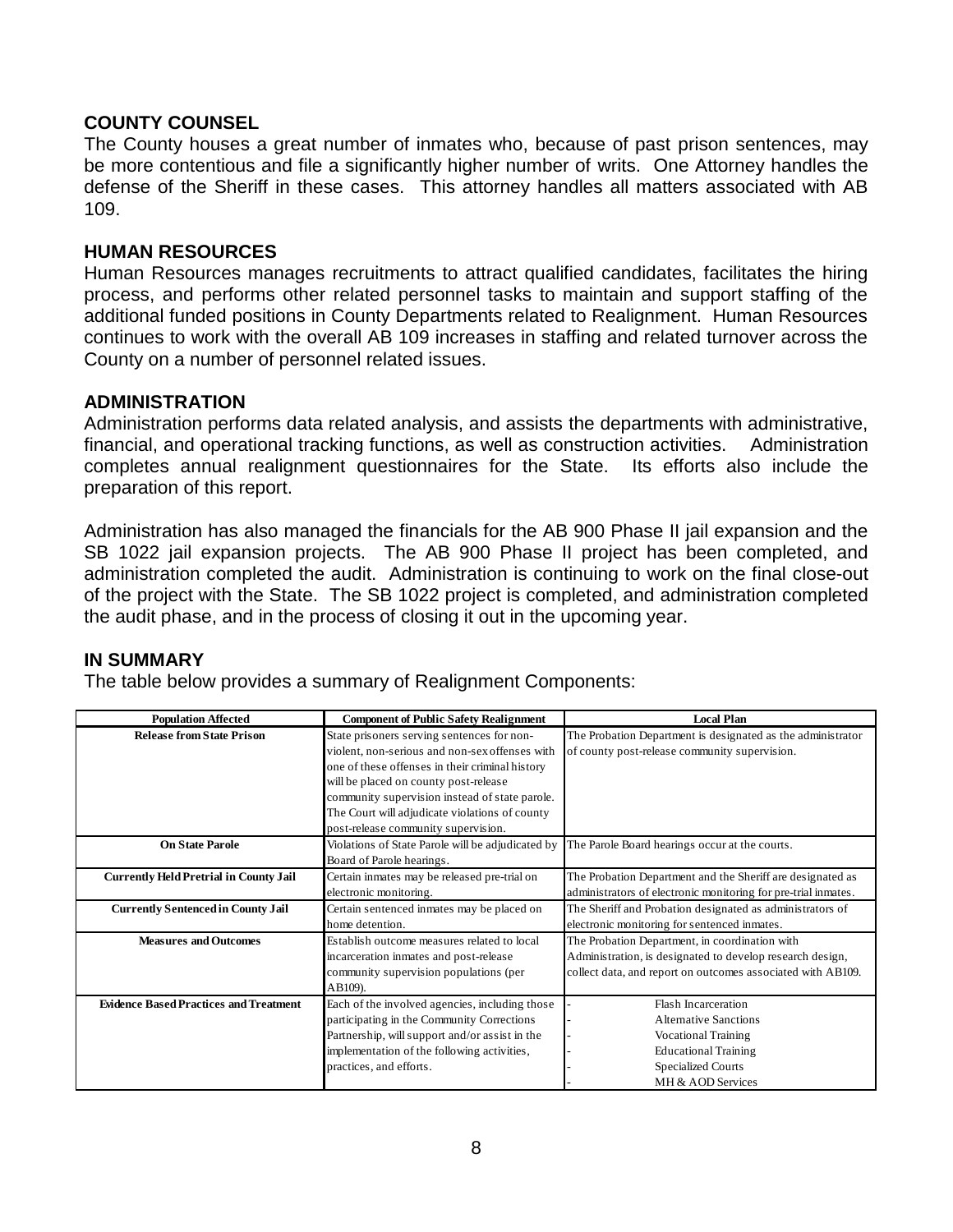# **COUNTY COUNSEL**

The County houses a great number of inmates who, because of past prison sentences, may be more contentious and file a significantly higher number of writs. One Attorney handles the defense of the Sheriff in these cases. This attorney handles all matters associated with AB 109.

### **HUMAN RESOURCES**

Human Resources manages recruitments to attract qualified candidates, facilitates the hiring process, and performs other related personnel tasks to maintain and support staffing of the additional funded positions in County Departments related to Realignment. Human Resources continues to work with the overall AB 109 increases in staffing and related turnover across the County on a number of personnel related issues.

### **ADMINISTRATION**

Administration performs data related analysis, and assists the departments with administrative, financial, and operational tracking functions, as well as construction activities. Administration completes annual realignment questionnaires for the State. Its efforts also include the preparation of this report.

Administration has also managed the financials for the AB 900 Phase II jail expansion and the SB 1022 jail expansion projects. The AB 900 Phase II project has been completed, and administration completed the audit. Administration is continuing to work on the final close-out of the project with the State. The SB 1022 project is completed, and administration completed the audit phase, and in the process of closing it out in the upcoming year.

### **IN SUMMARY**

The table below provides a summary of Realignment Components:

| <b>Population Affected</b>                    | <b>Component of Public Safety Realignment</b>     | <b>Local Plan</b>                                              |
|-----------------------------------------------|---------------------------------------------------|----------------------------------------------------------------|
| <b>Release from State Prison</b>              | State prisoners serving sentences for non-        | The Probation Department is designated as the administrator    |
|                                               | violent, non-serious and non-sex offenses with    | of county post-release community supervision.                  |
|                                               | one of these offenses in their criminal history   |                                                                |
|                                               | will be placed on county post-release             |                                                                |
|                                               | community supervision instead of state parole.    |                                                                |
|                                               | The Court will adjudicate violations of county    |                                                                |
|                                               | post-release community supervision.               |                                                                |
| <b>On State Parole</b>                        | Violations of State Parole will be adjudicated by | The Parole Board hearings occur at the courts.                 |
|                                               | Board of Parole hearings.                         |                                                                |
| <b>Currently Held Pretrial in County Jail</b> | Certain inmates may be released pre-trial on      | The Probation Department and the Sheriff are designated as     |
|                                               | electronic monitoring.                            | administrators of electronic monitoring for pre-trial inmates. |
| <b>Currently Sentenced in County Jail</b>     | Certain sentenced inmates may be placed on        | The Sheriff and Probation designated as administrators of      |
|                                               | home detention.                                   | electronic monitoring for sentenced inmates.                   |
| <b>Measures and Outcomes</b>                  | Establish outcome measures related to local       | The Probation Department, in coordination with                 |
|                                               | incarceration inmates and post-release            | Administration, is designated to develop research design,      |
|                                               | community supervision populations (per            | collect data, and report on outcomes associated with AB109.    |
|                                               | AB109).                                           |                                                                |
| <b>Evidence Based Practices and Treatment</b> | Each of the involved agencies, including those    | <b>Flash Incarceration</b>                                     |
|                                               | participating in the Community Corrections        | Alternative Sanctions                                          |
|                                               | Partnership, will support and/or assist in the    | <b>Vocational Training</b>                                     |
|                                               | implementation of the following activities,       | <b>Educational Training</b>                                    |
|                                               | practices, and efforts.                           | <b>Specialized Courts</b>                                      |
|                                               |                                                   | MH & AOD Services                                              |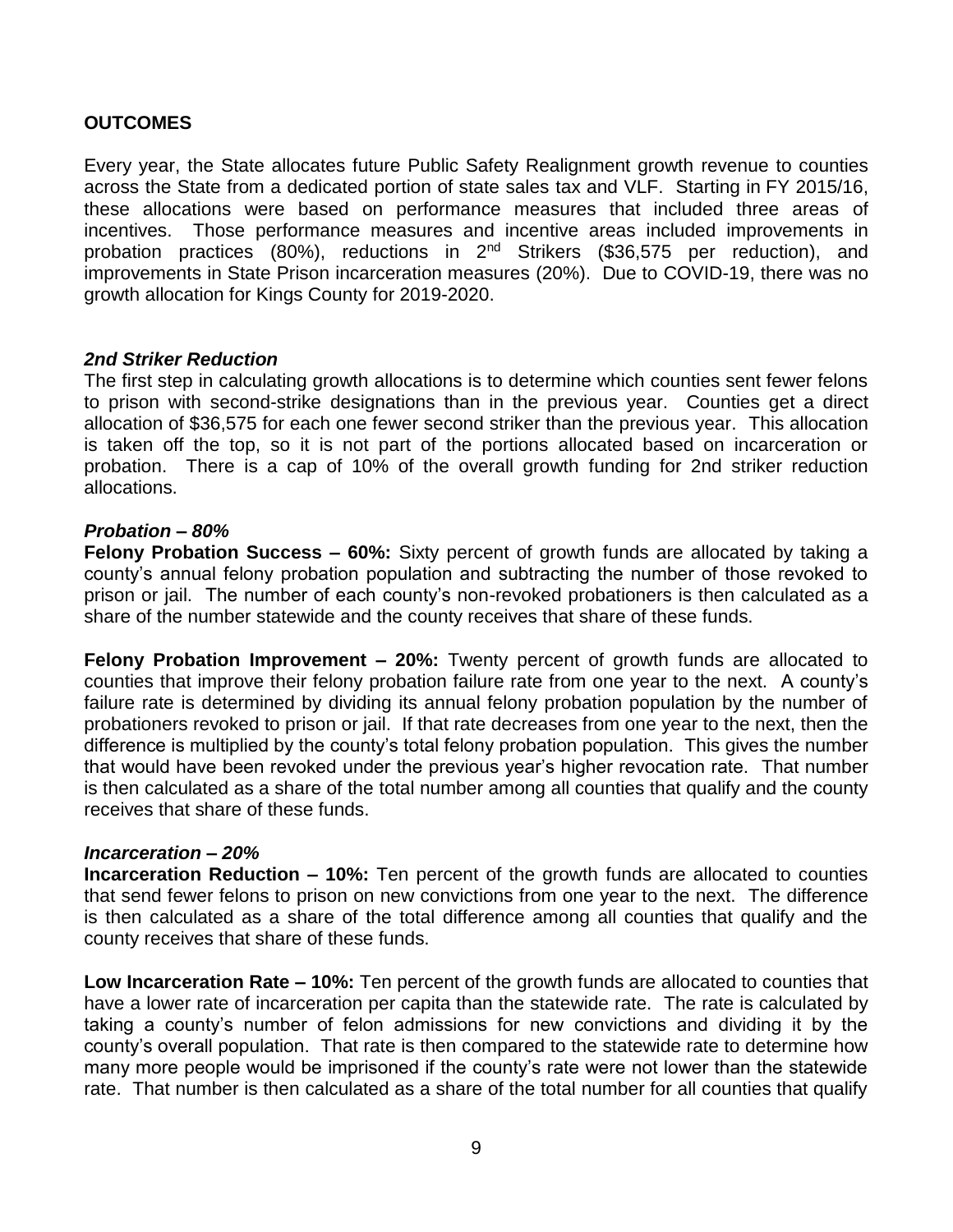# **OUTCOMES**

Every year, the State allocates future Public Safety Realignment growth revenue to counties across the State from a dedicated portion of state sales tax and VLF. Starting in FY 2015/16, these allocations were based on performance measures that included three areas of incentives. Those performance measures and incentive areas included improvements in probation practices (80%), reductions in 2nd Strikers (\$36,575 per reduction), and improvements in State Prison incarceration measures (20%). Due to COVID-19, there was no growth allocation for Kings County for 2019-2020.

# *2nd Striker Reduction*

The first step in calculating growth allocations is to determine which counties sent fewer felons to prison with second-strike designations than in the previous year. Counties get a direct allocation of \$36,575 for each one fewer second striker than the previous year. This allocation is taken off the top, so it is not part of the portions allocated based on incarceration or probation. There is a cap of 10% of the overall growth funding for 2nd striker reduction allocations.

# *Probation – 80%*

**Felony Probation Success – 60%:** Sixty percent of growth funds are allocated by taking a county's annual felony probation population and subtracting the number of those revoked to prison or jail. The number of each county's non-revoked probationers is then calculated as a share of the number statewide and the county receives that share of these funds.

**Felony Probation Improvement – 20%:** Twenty percent of growth funds are allocated to counties that improve their felony probation failure rate from one year to the next. A county's failure rate is determined by dividing its annual felony probation population by the number of probationers revoked to prison or jail. If that rate decreases from one year to the next, then the difference is multiplied by the county's total felony probation population. This gives the number that would have been revoked under the previous year's higher revocation rate. That number is then calculated as a share of the total number among all counties that qualify and the county receives that share of these funds.

### *Incarceration – 20%*

**Incarceration Reduction – 10%:** Ten percent of the growth funds are allocated to counties that send fewer felons to prison on new convictions from one year to the next. The difference is then calculated as a share of the total difference among all counties that qualify and the county receives that share of these funds.

**Low Incarceration Rate – 10%:** Ten percent of the growth funds are allocated to counties that have a lower rate of incarceration per capita than the statewide rate. The rate is calculated by taking a county's number of felon admissions for new convictions and dividing it by the county's overall population. That rate is then compared to the statewide rate to determine how many more people would be imprisoned if the county's rate were not lower than the statewide rate. That number is then calculated as a share of the total number for all counties that qualify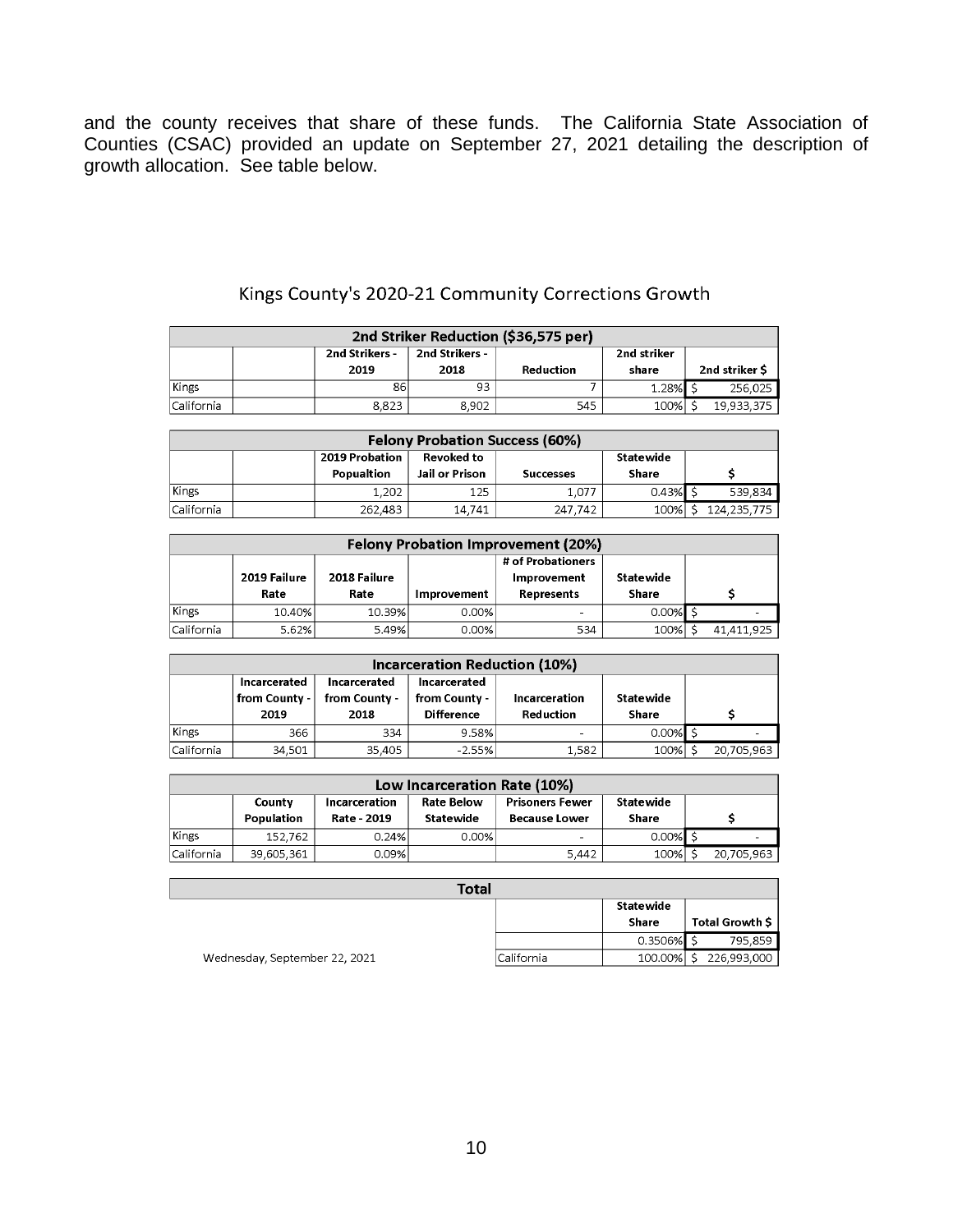and the county receives that share of these funds. The California State Association of Counties (CSAC) provided an update on September 27, 2021 detailing the description of growth allocation. See table below.

| 2nd Striker Reduction (\$36,575 per) |                                                 |       |       |           |       |               |  |
|--------------------------------------|-------------------------------------------------|-------|-------|-----------|-------|---------------|--|
|                                      | 2nd Strikers -<br>2nd Strikers -<br>2nd striker |       |       |           |       |               |  |
|                                      |                                                 | 2019  | 2018  | Reduction | share | 2nd striker S |  |
| Kings                                |                                                 | 86    | 93    |           | 1.28% | 256,025       |  |
| California                           |                                                 | 8.823 | 8.902 | 545       | 100%  | 19.933.375    |  |

# Kings County's 2020-21 Community Corrections Growth

| <b>Felony Probation Success (60%)</b>     |  |            |                |                  |       |             |
|-------------------------------------------|--|------------|----------------|------------------|-------|-------------|
| 2019 Probation<br>Revoked to<br>Statewide |  |            |                |                  |       |             |
|                                           |  | Popualtion | Jail or Prison | <b>Successes</b> | Share |             |
| Kings                                     |  | 1,202      | 125            | 1.077            | 0.43% | 539,834     |
| California                                |  | 262,483    | 14.741         | 247.742          | 100%  | 124,235,775 |

|            | <b>Felony Probation Improvement (20%)</b> |                      |                    |                                                       |                    |  |            |
|------------|-------------------------------------------|----------------------|--------------------|-------------------------------------------------------|--------------------|--|------------|
|            | 2019 Failure<br>Rate                      | 2018 Failure<br>Rate | <b>Improvement</b> | # of Probationers<br>Improvement<br><b>Represents</b> | Statewide<br>Share |  |            |
| Kings      | 10.40%                                    | 10.39%               | 0.00%              | ۰                                                     | $0.00\%$ S         |  |            |
| California | 5.62%                                     | 5.49%                | 0.00%              | 534                                                   | 100%               |  | 41,411,925 |

| <b>Incarceration Reduction (10%)</b> |                                         |                                       |                                                    |                            |                    |            |
|--------------------------------------|-----------------------------------------|---------------------------------------|----------------------------------------------------|----------------------------|--------------------|------------|
|                                      | Incarcerated<br>from County -  <br>2019 | Incarcerated<br>from County -<br>2018 | Incarcerated<br>from County -<br><b>Difference</b> | Incarceration<br>Reduction | Statewide<br>Share |            |
| Kings                                | 366                                     | 334                                   | 9.58%                                              | $\overline{\phantom{a}}$   | $0.00\%$ \$        |            |
| California                           | 34,501                                  | 35,405                                | $-2.55%$                                           | 1,582                      | 100%               | 20,705,963 |

| Low Incarceration Rate (10%) |            |                      |                   |                          |            |            |
|------------------------------|------------|----------------------|-------------------|--------------------------|------------|------------|
|                              | County     | <b>Incarceration</b> | <b>Rate Below</b> | <b>Prisoners Fewer</b>   | Statewide  |            |
|                              | Population | Rate - 2019          | Statewide         | <b>Because Lower</b>     | Share      |            |
| Kings                        | 152.762    | 0.24%                | 0.00%             | $\overline{\phantom{0}}$ | $0.00\%$ S |            |
| California                   | 39.605.361 | 0.09%                |                   | 5.442                    | 100%       | 20,705,963 |

| <b>Total</b>                  |            |            |                 |  |  |  |
|-------------------------------|------------|------------|-----------------|--|--|--|
|                               |            | Statewide  |                 |  |  |  |
|                               |            | Share      | Total Growth \$ |  |  |  |
|                               |            | $0.3506\%$ | 795,859         |  |  |  |
| Wednesday, September 22, 2021 | California | 100.00%    | 226,993,000     |  |  |  |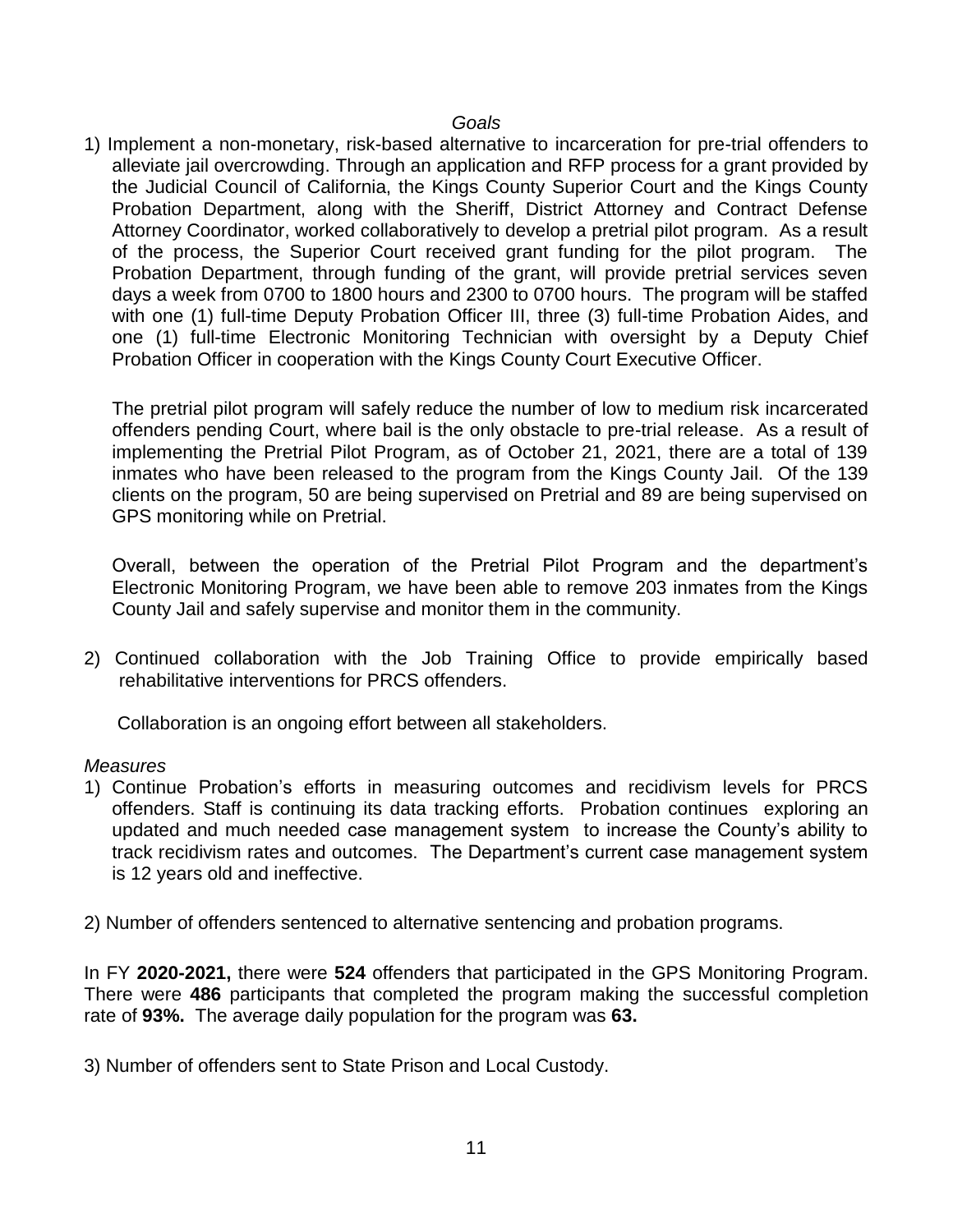# *Goals*

1) Implement a non-monetary, risk-based alternative to incarceration for pre-trial offenders to alleviate jail overcrowding. Through an application and RFP process for a grant provided by the Judicial Council of California, the Kings County Superior Court and the Kings County Probation Department, along with the Sheriff, District Attorney and Contract Defense Attorney Coordinator, worked collaboratively to develop a pretrial pilot program. As a result of the process, the Superior Court received grant funding for the pilot program. The Probation Department, through funding of the grant, will provide pretrial services seven days a week from 0700 to 1800 hours and 2300 to 0700 hours. The program will be staffed with one (1) full-time Deputy Probation Officer III, three (3) full-time Probation Aides, and one (1) full-time Electronic Monitoring Technician with oversight by a Deputy Chief Probation Officer in cooperation with the Kings County Court Executive Officer.

The pretrial pilot program will safely reduce the number of low to medium risk incarcerated offenders pending Court, where bail is the only obstacle to pre-trial release. As a result of implementing the Pretrial Pilot Program, as of October 21, 2021, there are a total of 139 inmates who have been released to the program from the Kings County Jail. Of the 139 clients on the program, 50 are being supervised on Pretrial and 89 are being supervised on GPS monitoring while on Pretrial.

Overall, between the operation of the Pretrial Pilot Program and the department's Electronic Monitoring Program, we have been able to remove 203 inmates from the Kings County Jail and safely supervise and monitor them in the community.

2) Continued collaboration with the Job Training Office to provide empirically based rehabilitative interventions for PRCS offenders.

Collaboration is an ongoing effort between all stakeholders.

### *Measures*

1) Continue Probation's efforts in measuring outcomes and recidivism levels for PRCS offenders. Staff is continuing its data tracking efforts. Probation continues exploring an updated and much needed case management system to increase the County's ability to track recidivism rates and outcomes. The Department's current case management system is 12 years old and ineffective.

2) Number of offenders sentenced to alternative sentencing and probation programs.

In FY **2020-2021,** there were **524** offenders that participated in the GPS Monitoring Program. There were **486** participants that completed the program making the successful completion rate of **93%.** The average daily population for the program was **63.**

3) Number of offenders sent to State Prison and Local Custody.